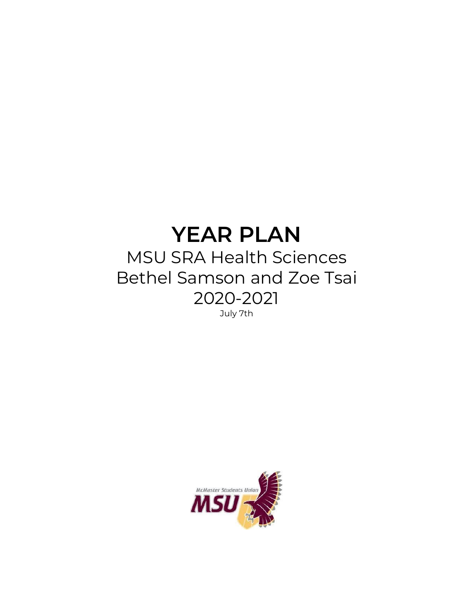# **YEAR PLAN**

## MSU SRA Health Sciences Bethel Samson and Zoe Tsai 2020-2021

July 7th

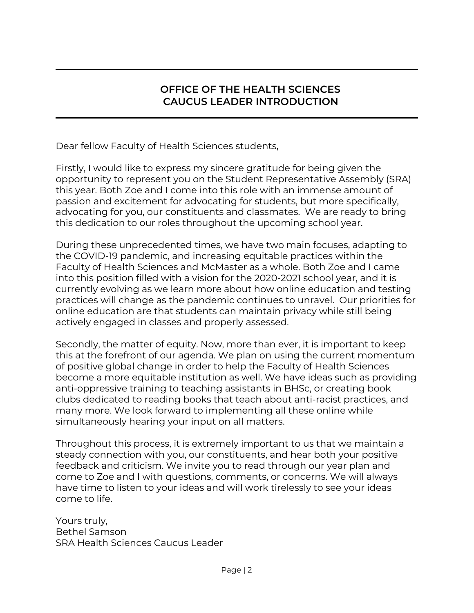### **OFFICE OF THE HEALTH SCIENCES CAUCUS LEADER INTRODUCTION**

Dear fellow Faculty of Health Sciences students,

Firstly, I would like to express my sincere gratitude for being given the opportunity to represent you on the Student Representative Assembly (SRA) this year. Both Zoe and I come into this role with an immense amount of passion and excitement for advocating for students, but more specifically, advocating for you, our constituents and classmates. We are ready to bring this dedication to our roles throughout the upcoming school year.

During these unprecedented times, we have two main focuses, adapting to the COVID-19 pandemic, and increasing equitable practices within the Faculty of Health Sciences and McMaster as a whole. Both Zoe and I came into this position filled with a vision for the 2020-2021 school year, and it is currently evolving as we learn more about how online education and testing practices will change as the pandemic continues to unravel. Our priorities for online education are that students can maintain privacy while still being actively engaged in classes and properly assessed.

Secondly, the matter of equity. Now, more than ever, it is important to keep this at the forefront of our agenda. We plan on using the current momentum of positive global change in order to help the Faculty of Health Sciences become a more equitable institution as well. We have ideas such as providing anti-oppressive training to teaching assistants in BHSc, or creating book clubs dedicated to reading books that teach about anti-racist practices, and many more. We look forward to implementing all these online while simultaneously hearing your input on all matters.

Throughout this process, it is extremely important to us that we maintain a steady connection with you, our constituents, and hear both your positive feedback and criticism. We invite you to read through our year plan and come to Zoe and I with questions, comments, or concerns. We will always have time to listen to your ideas and will work tirelessly to see your ideas come to life.

Yours truly, Bethel Samson SRA Health Sciences Caucus Leader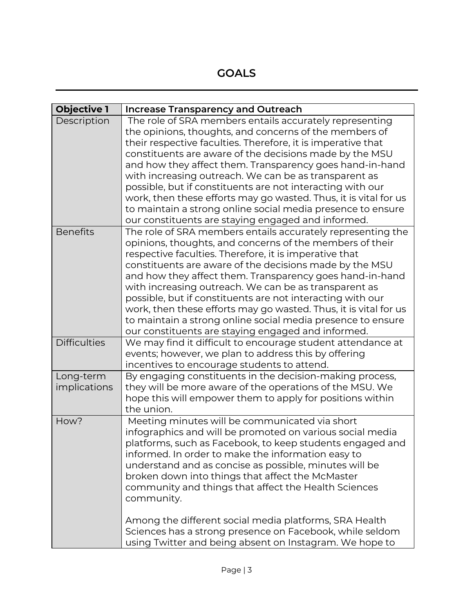### **GOALS**

| <b>Objective 1</b>        | <b>Increase Transparency and Outreach</b>                                                                                                                                                                                                                                                                                                                                                                                                                                                                                                                                                                                |
|---------------------------|--------------------------------------------------------------------------------------------------------------------------------------------------------------------------------------------------------------------------------------------------------------------------------------------------------------------------------------------------------------------------------------------------------------------------------------------------------------------------------------------------------------------------------------------------------------------------------------------------------------------------|
| Description               | The role of SRA members entails accurately representing<br>the opinions, thoughts, and concerns of the members of<br>their respective faculties. Therefore, it is imperative that<br>constituents are aware of the decisions made by the MSU<br>and how they affect them. Transparency goes hand-in-hand<br>with increasing outreach. We can be as transparent as<br>possible, but if constituents are not interacting with our<br>work, then these efforts may go wasted. Thus, it is vital for us<br>to maintain a strong online social media presence to ensure<br>our constituents are staying engaged and informed. |
| <b>Benefits</b>           | The role of SRA members entails accurately representing the<br>opinions, thoughts, and concerns of the members of their<br>respective faculties. Therefore, it is imperative that<br>constituents are aware of the decisions made by the MSU<br>and how they affect them. Transparency goes hand-in-hand<br>with increasing outreach. We can be as transparent as<br>possible, but if constituents are not interacting with our<br>work, then these efforts may go wasted. Thus, it is vital for us<br>to maintain a strong online social media presence to ensure<br>our constituents are staying engaged and informed. |
| <b>Difficulties</b>       | We may find it difficult to encourage student attendance at<br>events; however, we plan to address this by offering<br>incentives to encourage students to attend.                                                                                                                                                                                                                                                                                                                                                                                                                                                       |
| Long-term<br>implications | By engaging constituents in the decision-making process,<br>they will be more aware of the operations of the MSU. We<br>hope this will empower them to apply for positions within<br>the union.                                                                                                                                                                                                                                                                                                                                                                                                                          |
| How?                      | Meeting minutes will be communicated via short<br>infographics and will be promoted on various social media<br>platforms, such as Facebook, to keep students engaged and<br>informed. In order to make the information easy to<br>understand and as concise as possible, minutes will be<br>broken down into things that affect the McMaster<br>community and things that affect the Health Sciences<br>community.<br>Among the different social media platforms, SRA Health<br>Sciences has a strong presence on Facebook, while seldom<br>using Twitter and being absent on Instagram. We hope to                      |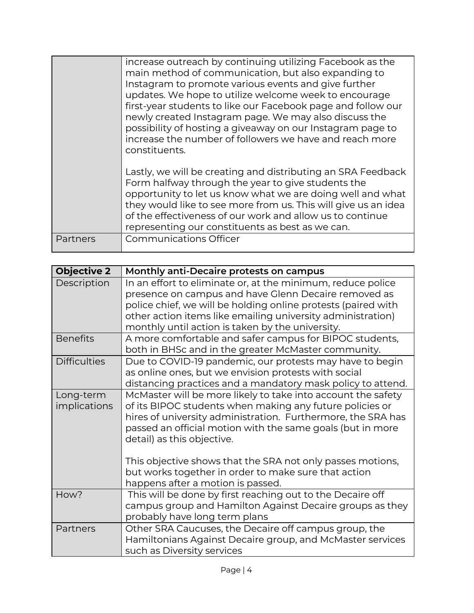|          | increase outreach by continuing utilizing Facebook as the<br>main method of communication, but also expanding to<br>Instagram to promote various events and give further<br>updates. We hope to utilize welcome week to encourage<br>first-year students to like our Facebook page and follow our<br>newly created Instagram page. We may also discuss the<br>possibility of hosting a giveaway on our Instagram page to<br>increase the number of followers we have and reach more<br>constituents. |
|----------|------------------------------------------------------------------------------------------------------------------------------------------------------------------------------------------------------------------------------------------------------------------------------------------------------------------------------------------------------------------------------------------------------------------------------------------------------------------------------------------------------|
|          | Lastly, we will be creating and distributing an SRA Feedback<br>Form halfway through the year to give students the<br>opportunity to let us know what we are doing well and what<br>they would like to see more from us. This will give us an idea<br>of the effectiveness of our work and allow us to continue<br>representing our constituents as best as we can.                                                                                                                                  |
| Partners | <b>Communications Officer</b>                                                                                                                                                                                                                                                                                                                                                                                                                                                                        |
|          |                                                                                                                                                                                                                                                                                                                                                                                                                                                                                                      |

| <b>Objective 2</b>        | Monthly anti-Decaire protests on campus                                                                                                                                                                                                                                                                                                                                                                                                         |
|---------------------------|-------------------------------------------------------------------------------------------------------------------------------------------------------------------------------------------------------------------------------------------------------------------------------------------------------------------------------------------------------------------------------------------------------------------------------------------------|
| Description               | In an effort to eliminate or, at the minimum, reduce police<br>presence on campus and have Glenn Decaire removed as<br>police chief, we will be holding online protests (paired with<br>other action items like emailing university administration)<br>monthly until action is taken by the university.                                                                                                                                         |
| <b>Benefits</b>           | A more comfortable and safer campus for BIPOC students,<br>both in BHSc and in the greater McMaster community.                                                                                                                                                                                                                                                                                                                                  |
| <b>Difficulties</b>       | Due to COVID-19 pandemic, our protests may have to begin<br>as online ones, but we envision protests with social<br>distancing practices and a mandatory mask policy to attend.                                                                                                                                                                                                                                                                 |
| Long-term<br>implications | McMaster will be more likely to take into account the safety<br>of its BIPOC students when making any future policies or<br>hires of university administration. Furthermore, the SRA has<br>passed an official motion with the same goals (but in more<br>detail) as this objective.<br>This objective shows that the SRA not only passes motions,<br>but works together in order to make sure that action<br>happens after a motion is passed. |
| How?                      | This will be done by first reaching out to the Decaire off<br>campus group and Hamilton Against Decaire groups as they<br>probably have long term plans                                                                                                                                                                                                                                                                                         |
| Partners                  | Other SRA Caucuses, the Decaire off campus group, the<br>Hamiltonians Against Decaire group, and McMaster services<br>such as Diversity services                                                                                                                                                                                                                                                                                                |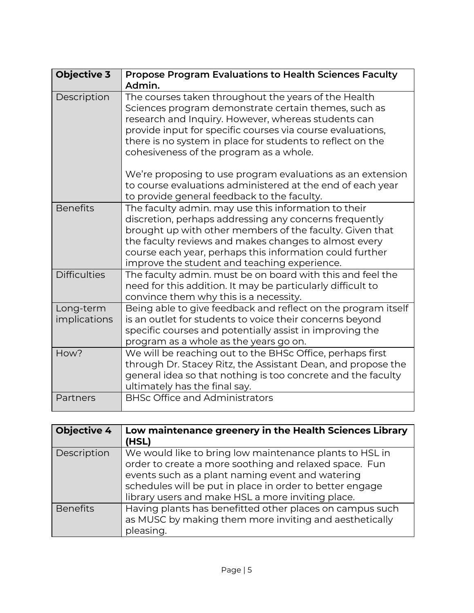| <b>Objective 3</b>        | <b>Propose Program Evaluations to Health Sciences Faculty</b><br>Admin.                                                                                                                                                                                                                                                                         |
|---------------------------|-------------------------------------------------------------------------------------------------------------------------------------------------------------------------------------------------------------------------------------------------------------------------------------------------------------------------------------------------|
| Description               | The courses taken throughout the years of the Health<br>Sciences program demonstrate certain themes, such as<br>research and Inquiry. However, whereas students can<br>provide input for specific courses via course evaluations,<br>there is no system in place for students to reflect on the<br>cohesiveness of the program as a whole.      |
|                           | We're proposing to use program evaluations as an extension<br>to course evaluations administered at the end of each year<br>to provide general feedback to the faculty.                                                                                                                                                                         |
| <b>Benefits</b>           | The faculty admin. may use this information to their<br>discretion, perhaps addressing any concerns frequently<br>brought up with other members of the faculty. Given that<br>the faculty reviews and makes changes to almost every<br>course each year, perhaps this information could further<br>improve the student and teaching experience. |
| <b>Difficulties</b>       | The faculty admin. must be on board with this and feel the<br>need for this addition. It may be particularly difficult to<br>convince them why this is a necessity.                                                                                                                                                                             |
| Long-term<br>implications | Being able to give feedback and reflect on the program itself<br>is an outlet for students to voice their concerns beyond<br>specific courses and potentially assist in improving the<br>program as a whole as the years go on.                                                                                                                 |
| How?                      | We will be reaching out to the BHSc Office, perhaps first<br>through Dr. Stacey Ritz, the Assistant Dean, and propose the<br>general idea so that nothing is too concrete and the faculty<br>ultimately has the final say.                                                                                                                      |
| Partners                  | <b>BHSc Office and Administrators</b>                                                                                                                                                                                                                                                                                                           |

| <b>Objective 4</b> | Low maintenance greenery in the Health Sciences Library<br>(HSL)                                                                                                                                                                                                                       |
|--------------------|----------------------------------------------------------------------------------------------------------------------------------------------------------------------------------------------------------------------------------------------------------------------------------------|
| Description        | We would like to bring low maintenance plants to HSL in<br>order to create a more soothing and relaxed space. Fun<br>events such as a plant naming event and watering<br>schedules will be put in place in order to better engage<br>library users and make HSL a more inviting place. |
| <b>Benefits</b>    | Having plants has benefitted other places on campus such<br>as MUSC by making them more inviting and aesthetically<br>pleasing.                                                                                                                                                        |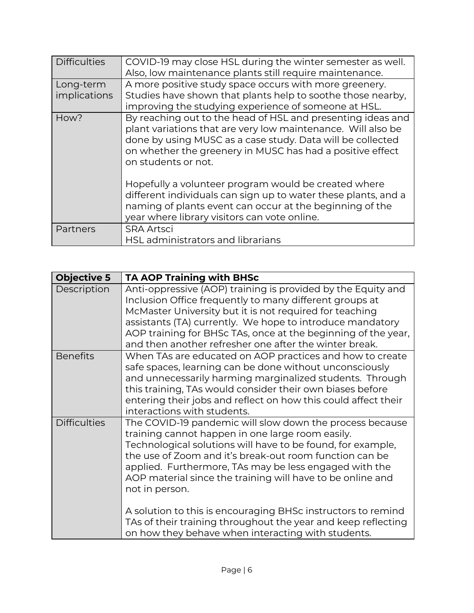| <b>Difficulties</b> | COVID-19 may close HSL during the winter semester as well.                                                                                                                                                                                                                    |
|---------------------|-------------------------------------------------------------------------------------------------------------------------------------------------------------------------------------------------------------------------------------------------------------------------------|
|                     | Also, low maintenance plants still require maintenance.                                                                                                                                                                                                                       |
| Long-term           | A more positive study space occurs with more greenery.                                                                                                                                                                                                                        |
| implications        | Studies have shown that plants help to soothe those nearby,                                                                                                                                                                                                                   |
|                     | improving the studying experience of someone at HSL.                                                                                                                                                                                                                          |
| How?                | By reaching out to the head of HSL and presenting ideas and<br>plant variations that are very low maintenance. Will also be<br>done by using MUSC as a case study. Data will be collected<br>on whether the greenery in MUSC has had a positive effect<br>on students or not. |
|                     | Hopefully a volunteer program would be created where<br>different individuals can sign up to water these plants, and a<br>naming of plants event can occur at the beginning of the<br>year where library visitors can vote online.                                            |
| Partners            | <b>SRA Artsci</b>                                                                                                                                                                                                                                                             |
|                     | HSL administrators and librarians                                                                                                                                                                                                                                             |

| <b>Objective 5</b>  | <b>TA AOP Training with BHSc</b>                                                                                                                                                                                                                                                                                                                                                                                                                                                                                                                                        |
|---------------------|-------------------------------------------------------------------------------------------------------------------------------------------------------------------------------------------------------------------------------------------------------------------------------------------------------------------------------------------------------------------------------------------------------------------------------------------------------------------------------------------------------------------------------------------------------------------------|
| Description         | Anti-oppressive (AOP) training is provided by the Equity and<br>Inclusion Office frequently to many different groups at<br>McMaster University but it is not required for teaching<br>assistants (TA) currently. We hope to introduce mandatory<br>AOP training for BHSc TAs, once at the beginning of the year,<br>and then another refresher one after the winter break.                                                                                                                                                                                              |
| <b>Benefits</b>     | When TAs are educated on AOP practices and how to create<br>safe spaces, learning can be done without unconsciously<br>and unnecessarily harming marginalized students. Through<br>this training, TAs would consider their own biases before<br>entering their jobs and reflect on how this could affect their<br>interactions with students.                                                                                                                                                                                                                           |
| <b>Difficulties</b> | The COVID-19 pandemic will slow down the process because<br>training cannot happen in one large room easily.<br>Technological solutions will have to be found, for example,<br>the use of Zoom and it's break-out room function can be<br>applied. Furthermore, TAs may be less engaged with the<br>AOP material since the training will have to be online and<br>not in person.<br>A solution to this is encouraging BHSc instructors to remind<br>TAs of their training throughout the year and keep reflecting<br>on how they behave when interacting with students. |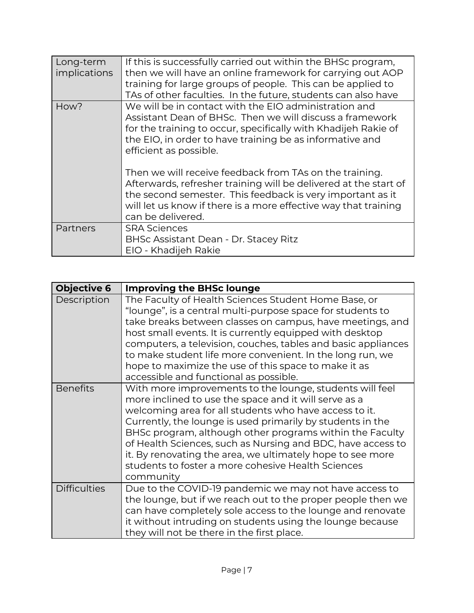| Long-term<br>implications | If this is successfully carried out within the BHSc program,<br>then we will have an online framework for carrying out AOP<br>training for large groups of people. This can be applied to<br>TAs of other faculties. In the future, students can also have                        |
|---------------------------|-----------------------------------------------------------------------------------------------------------------------------------------------------------------------------------------------------------------------------------------------------------------------------------|
| How?                      | We will be in contact with the EIO administration and<br>Assistant Dean of BHSc. Then we will discuss a framework<br>for the training to occur, specifically with Khadijeh Rakie of<br>the EIO, in order to have training be as informative and<br>efficient as possible.         |
|                           | Then we will receive feedback from TAs on the training.<br>Afterwards, refresher training will be delivered at the start of<br>the second semester. This feedback is very important as it<br>will let us know if there is a more effective way that training<br>can be delivered. |
| Partners                  | <b>SRA Sciences</b><br>BHSc Assistant Dean - Dr. Stacey Ritz<br>EIO - Khadijeh Rakie                                                                                                                                                                                              |

| <b>Objective 6</b>  | <b>Improving the BHSc lounge</b>                                                                                                                                                                                                                                                                                                                                                                                                                                                                      |
|---------------------|-------------------------------------------------------------------------------------------------------------------------------------------------------------------------------------------------------------------------------------------------------------------------------------------------------------------------------------------------------------------------------------------------------------------------------------------------------------------------------------------------------|
| Description         | The Faculty of Health Sciences Student Home Base, or<br>"lounge", is a central multi-purpose space for students to<br>take breaks between classes on campus, have meetings, and<br>host small events. It is currently equipped with desktop<br>computers, a television, couches, tables and basic appliances<br>to make student life more convenient. In the long run, we<br>hope to maximize the use of this space to make it as<br>accessible and functional as possible.                           |
| <b>Benefits</b>     | With more improvements to the lounge, students will feel<br>more inclined to use the space and it will serve as a<br>welcoming area for all students who have access to it.<br>Currently, the lounge is used primarily by students in the<br>BHSc program, although other programs within the Faculty<br>of Health Sciences, such as Nursing and BDC, have access to<br>it. By renovating the area, we ultimately hope to see more<br>students to foster a more cohesive Health Sciences<br>community |
| <b>Difficulties</b> | Due to the COVID-19 pandemic we may not have access to<br>the lounge, but if we reach out to the proper people then we<br>can have completely sole access to the lounge and renovate<br>it without intruding on students using the lounge because<br>they will not be there in the first place.                                                                                                                                                                                                       |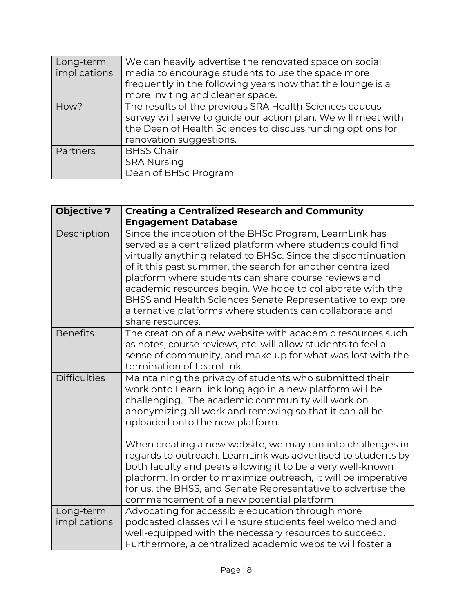| Long-term<br>implications | We can heavily advertise the renovated space on social<br>media to encourage students to use the space more<br>frequently in the following years now that the lounge is a<br>more inviting and cleaner space.    |
|---------------------------|------------------------------------------------------------------------------------------------------------------------------------------------------------------------------------------------------------------|
| How?                      | The results of the previous SRA Health Sciences caucus<br>survey will serve to guide our action plan. We will meet with<br>the Dean of Health Sciences to discuss funding options for<br>renovation suggestions. |
| Partners                  | <b>BHSS Chair</b><br><b>SRA Nursing</b><br>Dean of BHSc Program                                                                                                                                                  |

| <b>Objective 7</b>        | <b>Creating a Centralized Research and Community</b><br><b>Engagement Database</b>                                                                                                                                                                                                                                                                                                                                                                                                                                    |
|---------------------------|-----------------------------------------------------------------------------------------------------------------------------------------------------------------------------------------------------------------------------------------------------------------------------------------------------------------------------------------------------------------------------------------------------------------------------------------------------------------------------------------------------------------------|
| Description               | Since the inception of the BHSc Program, LearnLink has<br>served as a centralized platform where students could find<br>virtually anything related to BHSc. Since the discontinuation<br>of it this past summer, the search for another centralized<br>platform where students can share course reviews and<br>academic resources begin. We hope to collaborate with the<br>BHSS and Health Sciences Senate Representative to explore<br>alternative platforms where students can collaborate and<br>share resources. |
| <b>Benefits</b>           | The creation of a new website with academic resources such<br>as notes, course reviews, etc. will allow students to feel a<br>sense of community, and make up for what was lost with the<br>termination of LearnLink.                                                                                                                                                                                                                                                                                                 |
| <b>Difficulties</b>       | Maintaining the privacy of students who submitted their<br>work onto LearnLink long ago in a new platform will be<br>challenging. The academic community will work on<br>anonymizing all work and removing so that it can all be<br>uploaded onto the new platform.                                                                                                                                                                                                                                                   |
|                           | When creating a new website, we may run into challenges in<br>regards to outreach. LearnLink was advertised to students by<br>both faculty and peers allowing it to be a very well-known<br>platform. In order to maximize outreach, it will be imperative<br>for us, the BHSS, and Senate Representative to advertise the<br>commencement of a new potential platform                                                                                                                                                |
| Long-term<br>implications | Advocating for accessible education through more<br>podcasted classes will ensure students feel welcomed and<br>well-equipped with the necessary resources to succeed.<br>Furthermore, a centralized academic website will foster a                                                                                                                                                                                                                                                                                   |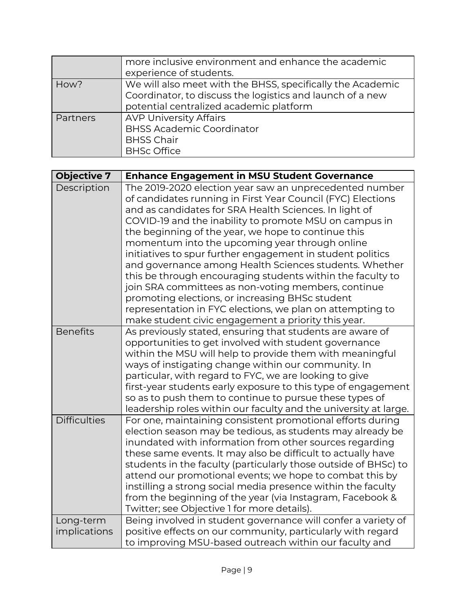|                           | more inclusive environment and enhance the academic<br>experience of students.                                                                                                                                                                                                                                                                                                                                                                                                                                                                                                                                                                                                                                                                                          |
|---------------------------|-------------------------------------------------------------------------------------------------------------------------------------------------------------------------------------------------------------------------------------------------------------------------------------------------------------------------------------------------------------------------------------------------------------------------------------------------------------------------------------------------------------------------------------------------------------------------------------------------------------------------------------------------------------------------------------------------------------------------------------------------------------------------|
| How?                      | We will also meet with the BHSS, specifically the Academic<br>Coordinator, to discuss the logistics and launch of a new<br>potential centralized academic platform                                                                                                                                                                                                                                                                                                                                                                                                                                                                                                                                                                                                      |
| Partners                  | <b>AVP University Affairs</b><br><b>BHSS Academic Coordinator</b><br><b>BHSS Chair</b><br><b>BHSc Office</b>                                                                                                                                                                                                                                                                                                                                                                                                                                                                                                                                                                                                                                                            |
| <b>Objective 7</b>        | <b>Enhance Engagement in MSU Student Governance</b>                                                                                                                                                                                                                                                                                                                                                                                                                                                                                                                                                                                                                                                                                                                     |
| Description               | The 2019-2020 election year saw an unprecedented number<br>of candidates running in First Year Council (FYC) Elections<br>and as candidates for SRA Health Sciences. In light of<br>COVID-19 and the inability to promote MSU on campus in<br>the beginning of the year, we hope to continue this<br>momentum into the upcoming year through online<br>initiatives to spur further engagement in student politics<br>and governance among Health Sciences students. Whether<br>this be through encouraging students within the faculty to<br>join SRA committees as non-voting members, continue<br>promoting elections, or increasing BHSc student<br>representation in FYC elections, we plan on attempting to<br>make student civic engagement a priority this year. |
| <b>Benefits</b>           | As previously stated, ensuring that students are aware of<br>opportunities to get involved with student governance<br>within the MSU will help to provide them with meaningful<br>ways of instigating change within our community. In<br>particular, with regard to FYC, we are looking to give<br>first-year students early exposure to this type of engagement<br>so as to push them to continue to pursue these types of<br>leadership roles within our faculty and the university at large.                                                                                                                                                                                                                                                                         |
| <b>Difficulties</b>       | For one, maintaining consistent promotional efforts during<br>election season may be tedious, as students may already be<br>inundated with information from other sources regarding<br>these same events. It may also be difficult to actually have<br>students in the faculty (particularly those outside of BHSc) to<br>attend our promotional events; we hope to combat this by<br>instilling a strong social media presence within the faculty<br>from the beginning of the year (via Instagram, Facebook &<br>Twitter; see Objective 1 for more details).                                                                                                                                                                                                          |
| Long-term<br>implications | Being involved in student governance will confer a variety of<br>positive effects on our community, particularly with regard<br>to improving MSU-based outreach within our faculty and                                                                                                                                                                                                                                                                                                                                                                                                                                                                                                                                                                                  |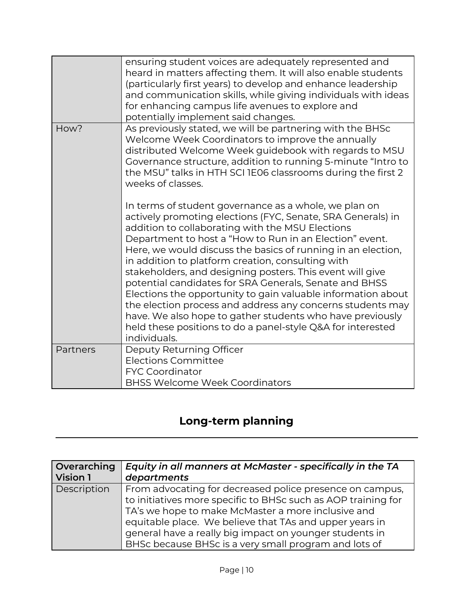|          | ensuring student voices are adequately represented and<br>heard in matters affecting them. It will also enable students<br>(particularly first years) to develop and enhance leadership<br>and communication skills, while giving individuals with ideas<br>for enhancing campus life avenues to explore and<br>potentially implement said changes.                                                                                                                                                                                                                                                                                                                                                                                                       |
|----------|-----------------------------------------------------------------------------------------------------------------------------------------------------------------------------------------------------------------------------------------------------------------------------------------------------------------------------------------------------------------------------------------------------------------------------------------------------------------------------------------------------------------------------------------------------------------------------------------------------------------------------------------------------------------------------------------------------------------------------------------------------------|
| How?     | As previously stated, we will be partnering with the BHSc<br>Welcome Week Coordinators to improve the annually<br>distributed Welcome Week guidebook with regards to MSU<br>Governance structure, addition to running 5-minute "Intro to<br>the MSU" talks in HTH SCI 1E06 classrooms during the first 2<br>weeks of classes.                                                                                                                                                                                                                                                                                                                                                                                                                             |
|          | In terms of student governance as a whole, we plan on<br>actively promoting elections (FYC, Senate, SRA Generals) in<br>addition to collaborating with the MSU Elections<br>Department to host a "How to Run in an Election" event.<br>Here, we would discuss the basics of running in an election,<br>in addition to platform creation, consulting with<br>stakeholders, and designing posters. This event will give<br>potential candidates for SRA Generals, Senate and BHSS<br>Elections the opportunity to gain valuable information about<br>the election process and address any concerns students may<br>have. We also hope to gather students who have previously<br>held these positions to do a panel-style Q&A for interested<br>individuals. |
| Partners | Deputy Returning Officer                                                                                                                                                                                                                                                                                                                                                                                                                                                                                                                                                                                                                                                                                                                                  |
|          | <b>Elections Committee</b><br><b>FYC Coordinator</b>                                                                                                                                                                                                                                                                                                                                                                                                                                                                                                                                                                                                                                                                                                      |
|          | <b>BHSS Welcome Week Coordinators</b>                                                                                                                                                                                                                                                                                                                                                                                                                                                                                                                                                                                                                                                                                                                     |

### **Long-term planning**

| Overarching     | Equity in all manners at McMaster - specifically in the TA                                                                                                                                                                                                                                                                                                     |
|-----------------|----------------------------------------------------------------------------------------------------------------------------------------------------------------------------------------------------------------------------------------------------------------------------------------------------------------------------------------------------------------|
| <b>Vision 1</b> | departments                                                                                                                                                                                                                                                                                                                                                    |
| Description     | From advocating for decreased police presence on campus,<br>to initiatives more specific to BHSc such as AOP training for<br>TA's we hope to make McMaster a more inclusive and<br>equitable place. We believe that TAs and upper years in<br>general have a really big impact on younger students in<br>BHSc because BHSc is a very small program and lots of |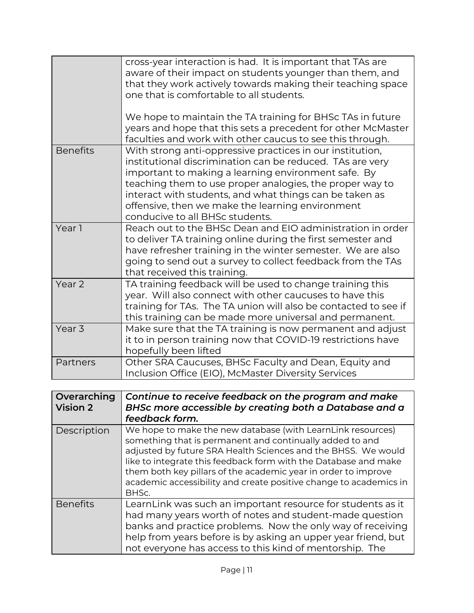|                   | cross-year interaction is had. It is important that TAs are<br>aware of their impact on students younger than them, and<br>that they work actively towards making their teaching space<br>one that is comfortable to all students.<br>We hope to maintain the TA training for BHSc TAs in future<br>years and hope that this sets a precedent for other McMaster<br>faculties and work with other caucus to see this through. |
|-------------------|-------------------------------------------------------------------------------------------------------------------------------------------------------------------------------------------------------------------------------------------------------------------------------------------------------------------------------------------------------------------------------------------------------------------------------|
| <b>Benefits</b>   | With strong anti-oppressive practices in our institution,<br>institutional discrimination can be reduced. TAs are very<br>important to making a learning environment safe. By<br>teaching them to use proper analogies, the proper way to<br>interact with students, and what things can be taken as<br>offensive, then we make the learning environment<br>conducive to all BHSc students.                                   |
| Year 1            | Reach out to the BHSc Dean and EIO administration in order<br>to deliver TA training online during the first semester and<br>have refresher training in the winter semester. We are also<br>going to send out a survey to collect feedback from the TAs<br>that received this training.                                                                                                                                       |
| Year <sub>2</sub> | TA training feedback will be used to change training this<br>year. Will also connect with other caucuses to have this<br>training for TAs. The TA union will also be contacted to see if<br>this training can be made more universal and permanent.                                                                                                                                                                           |
| Year <sub>3</sub> | Make sure that the TA training is now permanent and adjust<br>it to in person training now that COVID-19 restrictions have<br>hopefully been lifted                                                                                                                                                                                                                                                                           |
| Partners          | Other SRA Caucuses, BHSc Faculty and Dean, Equity and<br>Inclusion Office (EIO), McMaster Diversity Services                                                                                                                                                                                                                                                                                                                  |

| Overarching<br><b>Vision 2</b> | Continue to receive feedback on the program and make<br>BHSc more accessible by creating both a Database and a<br>feedback form.                                                                                                                                                                                                                                                                            |
|--------------------------------|-------------------------------------------------------------------------------------------------------------------------------------------------------------------------------------------------------------------------------------------------------------------------------------------------------------------------------------------------------------------------------------------------------------|
| Description                    | We hope to make the new database (with LearnLink resources)<br>something that is permanent and continually added to and<br>adjusted by future SRA Health Sciences and the BHSS. We would<br>like to integrate this feedback form with the Database and make<br>them both key pillars of the academic year in order to improve<br>academic accessibility and create positive change to academics in<br>BHSc. |
| <b>Benefits</b>                | LearnLink was such an important resource for students as it<br>had many years worth of notes and student-made question<br>banks and practice problems. Now the only way of receiving<br>help from years before is by asking an upper year friend, but<br>not everyone has access to this kind of mentorship. The                                                                                            |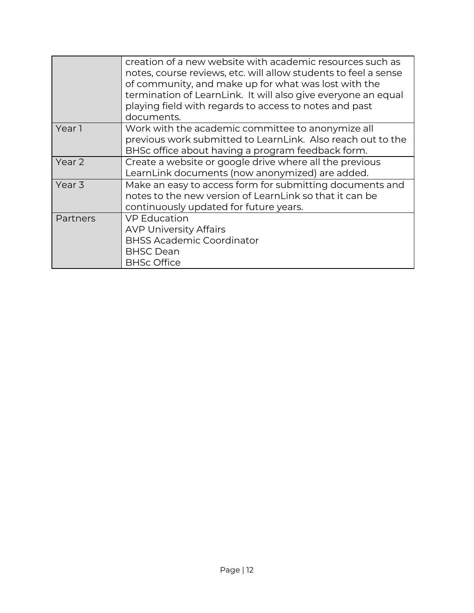|                   | creation of a new website with academic resources such as<br>notes, course reviews, etc. will allow students to feel a sense<br>of community, and make up for what was lost with the<br>termination of LearnLink. It will also give everyone an equal<br>playing field with regards to access to notes and past<br>documents. |
|-------------------|-------------------------------------------------------------------------------------------------------------------------------------------------------------------------------------------------------------------------------------------------------------------------------------------------------------------------------|
| Year 1            | Work with the academic committee to anonymize all<br>previous work submitted to LearnLink. Also reach out to the<br>BHSc office about having a program feedback form.                                                                                                                                                         |
| Year 2            | Create a website or google drive where all the previous<br>LearnLink documents (now anonymized) are added.                                                                                                                                                                                                                    |
| Year <sub>3</sub> | Make an easy to access form for submitting documents and<br>notes to the new version of LearnLink so that it can be<br>continuously updated for future years.                                                                                                                                                                 |
| Partners          | <b>VP Education</b><br><b>AVP University Affairs</b><br><b>BHSS Academic Coordinator</b><br><b>BHSC</b> Dean<br><b>BHSc Office</b>                                                                                                                                                                                            |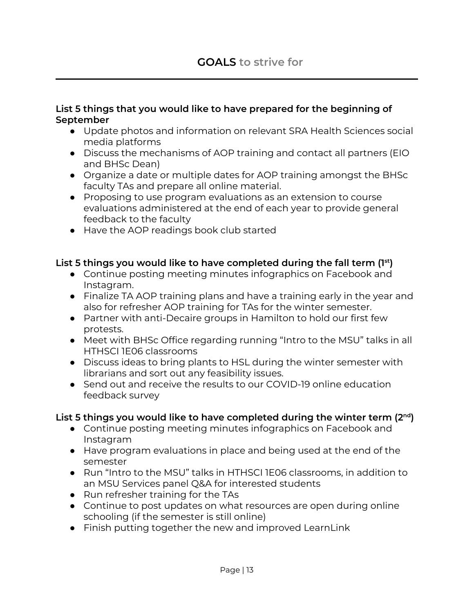#### **List 5 things that you would like to have prepared for the beginning of September**

- Update photos and information on relevant SRA Health Sciences social media platforms
- Discuss the mechanisms of AOP training and contact all partners (EIO and BHSc Dean)
- Organize a date or multiple dates for AOP training amongst the BHSc faculty TAs and prepare all online material.
- Proposing to use program evaluations as an extension to course evaluations administered at the end of each year to provide general feedback to the faculty
- Have the AOP readings book club started

### **List 5 things you would like to have completed during the fall term (1 st )**

- Continue posting meeting minutes infographics on Facebook and Instagram.
- Finalize TA AOP training plans and have a training early in the year and also for refresher AOP training for TAs for the winter semester.
- Partner with anti-Decaire groups in Hamilton to hold our first few protests.
- Meet with BHSc Office regarding running "Intro to the MSU" talks in all HTHSCI 1E06 classrooms
- Discuss ideas to bring plants to HSL during the winter semester with librarians and sort out any feasibility issues.
- Send out and receive the results to our COVID-19 online education feedback survey

### **List 5 things you would like to have completed during the winter term (2 nd )**

- Continue posting meeting minutes infographics on Facebook and Instagram
- Have program evaluations in place and being used at the end of the semester
- Run "Intro to the MSU" talks in HTHSCI 1E06 classrooms, in addition to an MSU Services panel Q&A for interested students
- Run refresher training for the TAs
- Continue to post updates on what resources are open during online schooling (if the semester is still online)
- Finish putting together the new and improved LearnLink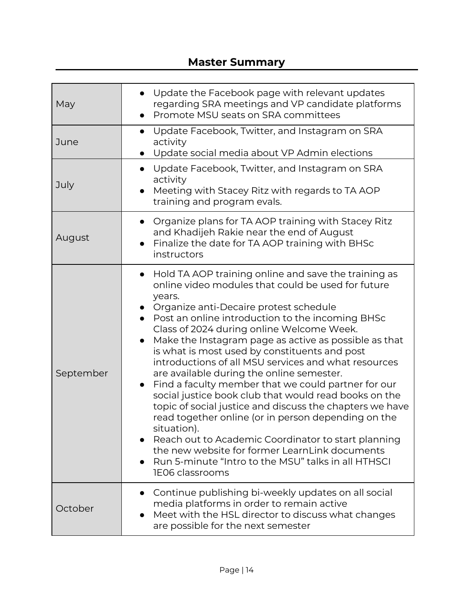### **Master Summary**

| May       | Update the Facebook page with relevant updates<br>$\bullet$<br>regarding SRA meetings and VP candidate platforms<br>Promote MSU seats on SRA committees                                                                                                                                                                                                                                                                                                                                                                                                                                                                                                                                                                                                                                                                                                                                                                                              |
|-----------|------------------------------------------------------------------------------------------------------------------------------------------------------------------------------------------------------------------------------------------------------------------------------------------------------------------------------------------------------------------------------------------------------------------------------------------------------------------------------------------------------------------------------------------------------------------------------------------------------------------------------------------------------------------------------------------------------------------------------------------------------------------------------------------------------------------------------------------------------------------------------------------------------------------------------------------------------|
| June      | Update Facebook, Twitter, and Instagram on SRA<br>$\bullet$<br>activity<br>Update social media about VP Admin elections                                                                                                                                                                                                                                                                                                                                                                                                                                                                                                                                                                                                                                                                                                                                                                                                                              |
| July      | Update Facebook, Twitter, and Instagram on SRA<br>$\bullet$<br>activity<br>Meeting with Stacey Ritz with regards to TA AOP<br>$\bullet$<br>training and program evals.                                                                                                                                                                                                                                                                                                                                                                                                                                                                                                                                                                                                                                                                                                                                                                               |
| August    | Organize plans for TA AOP training with Stacey Ritz<br>$\bullet$<br>and Khadijeh Rakie near the end of August<br>Finalize the date for TA AOP training with BHSc<br>$\bullet$<br>instructors                                                                                                                                                                                                                                                                                                                                                                                                                                                                                                                                                                                                                                                                                                                                                         |
| September | Hold TA AOP training online and save the training as<br>$\bullet$<br>online video modules that could be used for future<br>years.<br>Organize anti-Decaire protest schedule<br>Post an online introduction to the incoming BHSc<br>Class of 2024 during online Welcome Week.<br>Make the Instagram page as active as possible as that<br>$\bullet$<br>is what is most used by constituents and post<br>introductions of all MSU services and what resources<br>are available during the online semester.<br>Find a faculty member that we could partner for our<br>social justice book club that would read books on the<br>topic of social justice and discuss the chapters we have<br>read together online (or in person depending on the<br>situation).<br>Reach out to Academic Coordinator to start planning<br>the new website for former LearnLink documents<br>Run 5-minute "Intro to the MSU" talks in all HTHSCI<br><b>1E06 classrooms</b> |
| October   | Continue publishing bi-weekly updates on all social<br>media platforms in order to remain active<br>Meet with the HSL director to discuss what changes<br>are possible for the next semester                                                                                                                                                                                                                                                                                                                                                                                                                                                                                                                                                                                                                                                                                                                                                         |